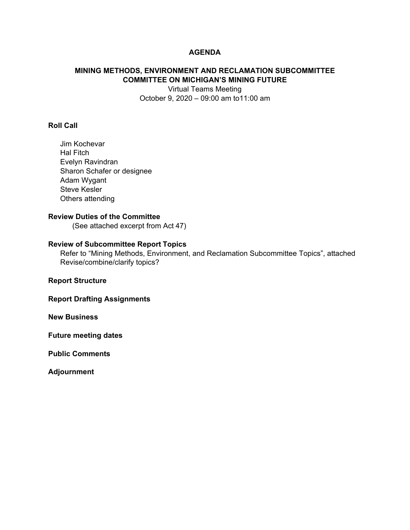## **AGENDA**

# **MINING METHODS, ENVIRONMENT AND RECLAMATION SUBCOMMITTEE COMMITTEE ON MICHIGAN'S MINING FUTURE**

Virtual Teams Meeting October 9, 2020 – 09:00 am to11:00 am

### **Roll Call**

Jim Kochevar Hal Fitch Evelyn Ravindran Sharon Schafer or designee Adam Wygant Steve Kesler Others attending

## **Review Duties of the Committee**

(See attached excerpt from Act 47)

### **Review of Subcommittee Report Topics**

Refer to "Mining Methods, Environment, and Reclamation Subcommittee Topics", attached Revise/combine/clarify topics?

**Report Structure** 

**Report Drafting Assignments** 

**New Business** 

**Future meeting dates** 

**Public Comments** 

**Adjournment**